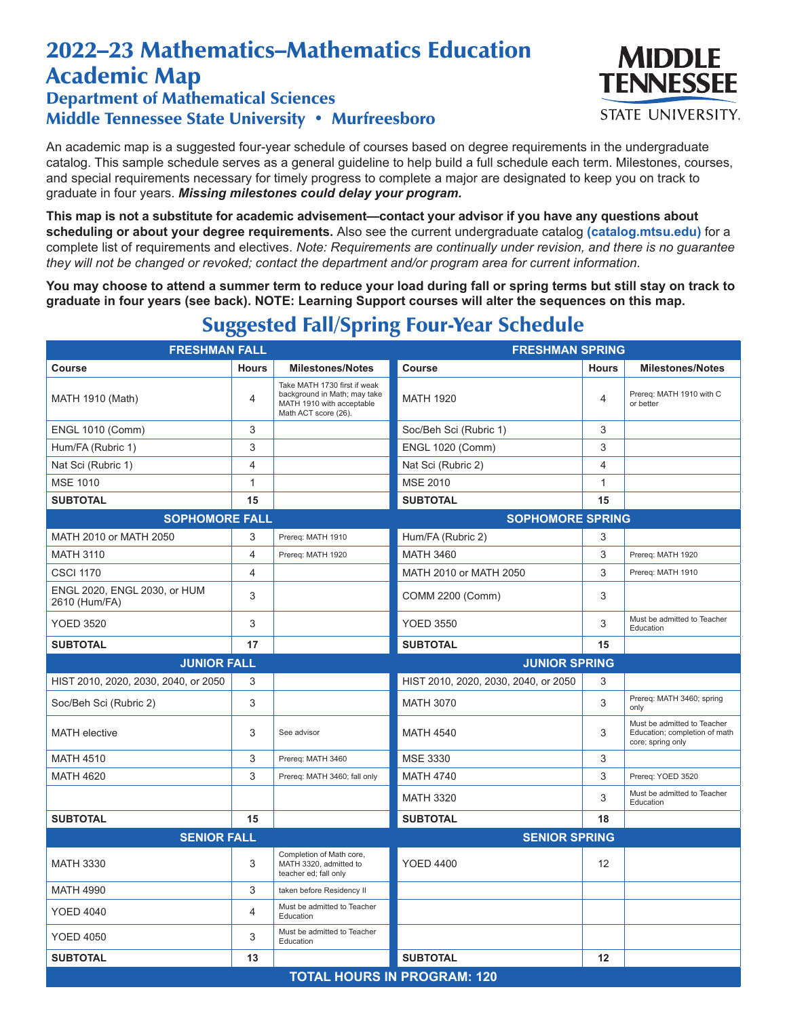## 2022–23 Mathematics–Mathematics Education Academic Map

## Department of Mathematical Sciences Middle Tennessee State University • Murfreesboro

An academic map is a suggested four-year schedule of courses based on degree requirements in the undergraduate catalog. This sample schedule serves as a general guideline to help build a full schedule each term. Milestones, courses, and special requirements necessary for timely progress to complete a major are designated to keep you on track to graduate in four years. *Missing milestones could delay your program.*

**This map is not a substitute for academic advisement—contact your advisor if you have any questions about scheduling or about your degree requirements.** Also see the current undergraduate catalog **(catalog.mtsu.edu)** for a complete list of requirements and electives. *Note: Requirements are continually under revision, and there is no guarantee they will not be changed or revoked; contact the department and/or program area for current information.*

**You may choose to attend a summer term to reduce your load during fall or spring terms but still stay on track to graduate in four years (see back). NOTE: Learning Support courses will alter the sequences on this map.**

| <b>FRESHMAN FALL</b>                          |              | <b>FRESHMAN SPRING</b>                                                                                            |                                      |              |                                                                                   |  |  |
|-----------------------------------------------|--------------|-------------------------------------------------------------------------------------------------------------------|--------------------------------------|--------------|-----------------------------------------------------------------------------------|--|--|
| Course                                        | <b>Hours</b> | <b>Milestones/Notes</b>                                                                                           | <b>Course</b>                        | <b>Hours</b> | <b>Milestones/Notes</b>                                                           |  |  |
| <b>MATH 1910 (Math)</b>                       | 4            | Take MATH 1730 first if weak<br>background in Math; may take<br>MATH 1910 with acceptable<br>Math ACT score (26). | <b>MATH 1920</b>                     | 4            | Prereq: MATH 1910 with C<br>or better                                             |  |  |
| <b>ENGL 1010 (Comm)</b>                       | 3            |                                                                                                                   | Soc/Beh Sci (Rubric 1)               | 3            |                                                                                   |  |  |
| Hum/FA (Rubric 1)                             | 3            |                                                                                                                   | <b>ENGL 1020 (Comm)</b>              | 3            |                                                                                   |  |  |
| Nat Sci (Rubric 1)                            | 4            |                                                                                                                   | Nat Sci (Rubric 2)                   | 4            |                                                                                   |  |  |
| <b>MSE 1010</b>                               | 1            |                                                                                                                   | <b>MSE 2010</b>                      | $\mathbf{1}$ |                                                                                   |  |  |
| <b>SUBTOTAL</b>                               | 15           |                                                                                                                   | <b>SUBTOTAL</b>                      | 15           |                                                                                   |  |  |
| <b>SOPHOMORE FALL</b>                         |              |                                                                                                                   | <b>SOPHOMORE SPRING</b>              |              |                                                                                   |  |  |
| MATH 2010 or MATH 2050                        | 3            | Prereq: MATH 1910                                                                                                 | Hum/FA (Rubric 2)                    | 3            |                                                                                   |  |  |
| <b>MATH 3110</b>                              | 4            | Prereq: MATH 1920                                                                                                 | <b>MATH 3460</b>                     | 3            | Prereq: MATH 1920                                                                 |  |  |
| <b>CSCI 1170</b>                              | 4            |                                                                                                                   | MATH 2010 or MATH 2050               | 3            | Prereq: MATH 1910                                                                 |  |  |
| ENGL 2020, ENGL 2030, or HUM<br>2610 (Hum/FA) | 3            |                                                                                                                   | COMM 2200 (Comm)                     | 3            |                                                                                   |  |  |
| <b>YOED 3520</b>                              | 3            |                                                                                                                   | <b>YOED 3550</b>                     | 3            | Must be admitted to Teacher<br>Education                                          |  |  |
| <b>SUBTOTAL</b>                               | 17           |                                                                                                                   | <b>SUBTOTAL</b>                      | 15           |                                                                                   |  |  |
| <b>JUNIOR FALL</b>                            |              |                                                                                                                   | <b>JUNIOR SPRING</b>                 |              |                                                                                   |  |  |
| HIST 2010, 2020, 2030, 2040, or 2050          | 3            |                                                                                                                   | HIST 2010, 2020, 2030, 2040, or 2050 | 3            |                                                                                   |  |  |
| Soc/Beh Sci (Rubric 2)                        | 3            |                                                                                                                   | <b>MATH 3070</b>                     | 3            | Prereq: MATH 3460; spring<br>only                                                 |  |  |
| <b>MATH</b> elective                          | 3            | See advisor                                                                                                       | <b>MATH 4540</b>                     | 3            | Must be admitted to Teacher<br>Education; completion of math<br>core; spring only |  |  |
| <b>MATH 4510</b>                              | 3            | Prereq: MATH 3460                                                                                                 | <b>MSE 3330</b>                      | 3            |                                                                                   |  |  |
| <b>MATH 4620</b>                              | 3            | Prereq: MATH 3460; fall only                                                                                      | <b>MATH 4740</b>                     | 3            | Prereq: YOED 3520                                                                 |  |  |
|                                               |              |                                                                                                                   | <b>MATH 3320</b>                     | 3            | Must be admitted to Teacher<br>Education                                          |  |  |
| <b>SUBTOTAL</b>                               | 15           |                                                                                                                   | <b>SUBTOTAL</b>                      | 18           |                                                                                   |  |  |
| <b>SENIOR FALL</b>                            |              |                                                                                                                   | <b>SENIOR SPRING</b>                 |              |                                                                                   |  |  |
| <b>MATH 3330</b>                              | 3            | Completion of Math core,<br>MATH 3320, admitted to<br>teacher ed; fall only                                       | <b>YOED 4400</b>                     | 12           |                                                                                   |  |  |
| <b>MATH 4990</b>                              | 3            | taken before Residency II                                                                                         |                                      |              |                                                                                   |  |  |
| <b>YOED 4040</b>                              | 4            | Must be admitted to Teacher<br>Education                                                                          |                                      |              |                                                                                   |  |  |
| <b>YOED 4050</b>                              | 3            | Must be admitted to Teacher<br>Education                                                                          |                                      |              |                                                                                   |  |  |
| <b>SUBTOTAL</b>                               | 13           |                                                                                                                   | <b>SUBTOTAL</b>                      | 12           |                                                                                   |  |  |
| <b>TOTAL HOURS IN PROGRAM: 120</b>            |              |                                                                                                                   |                                      |              |                                                                                   |  |  |

## Suggested Fall/Spring Four-Year Schedule